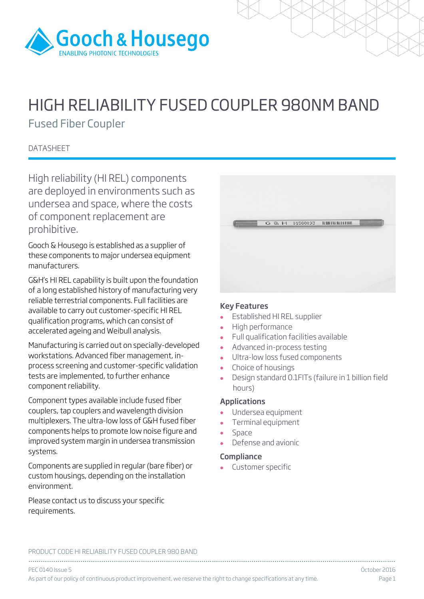

# HIGH RELIABILITY FUSED COUPLER 980NM BAND

Fused Fiber Coupler

**DATASHEET** 

High reliability (HI REL) components are deployed in environments such as undersea and space, where the costs of component replacement are prohibitive.

Gooch & Housego is established as a supplier of these components to major undersea equipment manufacturers.

G&H's HI REL capability is built upon the foundation of a long established history of manufacturing very reliable terrestrial components. Full facilities are available to carry out customer-specific HI REL qualification programs, which can consist of accelerated ageing and Weibull analysis.

Manufacturing is carried out on specially-developed workstations. Advanced fiber management, inprocess screening and customer-specific validation tests are implemented, to further enhance component reliability.

Component types available include fused fiber couplers, tap couplers and wavelength division multiplexers. The ultra-low loss of G&H fused fiber components helps to promote low noise figure and improved system margin in undersea transmission systems.

Components are supplied in regular (bare fiber) or custom housings, depending on the installation environment.

Please contact us to discuss your specific requirements.

|  | G & H 01588093 | <b>HISBLEHINGHERED</b> |  |
|--|----------------|------------------------|--|
|  |                |                        |  |
|  |                |                        |  |

### Key Features

- Established HI REL supplier
- High performance
- Full qualification facilities available
- Advanced in-process testing
- Ultra-low loss fused components
- Choice of housings<br>• Design standard 0.
- Design standard 0.1FITs (failure in 1 billion field hours)

### Applications

- Undersea equipment
- Terminal equipment
- Space
- Defense and avionic

### **Compliance**

Customer specific

PRODUCT CODE HI RELIABILITY FUSED COUPLER 980 BAND

................................................................................................................................................................................ PEC 0140 Issue 5 October 2016 As part of our policy of continuous product improvement, we reserve the right to change specifications at any time. Page 1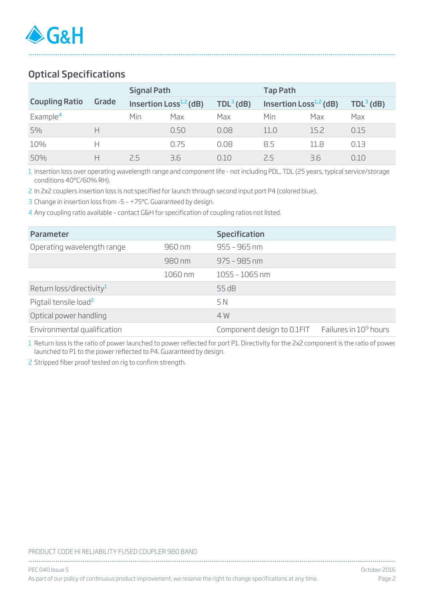## Optical Specifications

|                       |       | <b>Signal Path</b> |                              |             | <b>Tap Path</b>          |      |             |  |  |
|-----------------------|-------|--------------------|------------------------------|-------------|--------------------------|------|-------------|--|--|
| <b>Coupling Ratio</b> | Grade |                    | Insertion Loss $^{1,2}$ (dB) | $TDL3$ (dB) | Insertion $Loss1,2$ (dB) |      | $TDL3$ (dB) |  |  |
| Example <sup>4</sup>  |       | Min                | Max                          | Max         | Min                      | Max  | Max         |  |  |
| 5%                    | н     |                    | 0.50                         | 0.08        | 11.0                     | 15.2 | 0.15        |  |  |
| 10%                   | Н     |                    | 0.75                         | 0.08        | 8.5                      | 11.8 | 0.13        |  |  |
| 50%                   | н     | ノト                 | 3.6                          | 0.10        | 7.5                      | 3.6  | 0.10        |  |  |

................................................................................................................................................................................

1 Insertion loss over operating wavelength range and component life - not including PDL, TDL (25 years, typical service/storage conditions 40°C/60% RH).

2 In 2x2 couplers insertion loss is not specified for launch through second input port P4 (colored blue).

3 Change in insertion loss from -5 – +75ºC. Guaranteed by design.

4 Any coupling ratio available – contact G&H for specification of coupling ratios not listed.

| Parameter                            |         | <b>Specification</b>                                   |  |
|--------------------------------------|---------|--------------------------------------------------------|--|
| Operating wavelength range           | 960 nm  | $955 - 965$ nm                                         |  |
|                                      | 980 nm  | $975 - 985$ nm                                         |  |
|                                      | 1060 nm | $1055 - 1065$ nm                                       |  |
| Return loss/directivity <sup>1</sup> |         | 55 dB                                                  |  |
| Pigtail tensile load <sup>2</sup>    |         | 5 N                                                    |  |
| Optical power handling               |         | 4 W                                                    |  |
| Environmental qualification          |         | Component design to $0.1$ FIT Failures in $10^9$ hours |  |

1 Return loss is the ratio of power launched to power reflected for port P1. Directivity for the 2x2 component is the ratio of power launched to P1 to the power reflected to P4. Guaranteed by design.

2 Stripped fiber proof tested on rig to confirm strength.

#### PRODUCT CODE HI RELIABILITY FUSED COUPLER 980 BAND

| PEC 040 Issue 5                                                                                                     | October 2016 |
|---------------------------------------------------------------------------------------------------------------------|--------------|
| As part of our policy of continuous product improvement, we reserve the right to change specifications at any time. | Page 2       |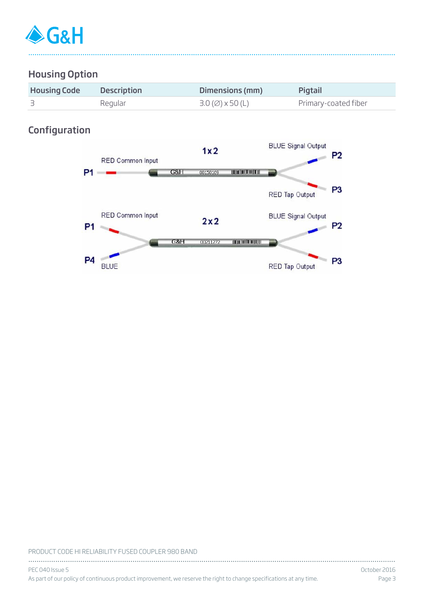

### Housing Option

| <b>Housing Code</b> | <b>Description</b> | Dimensions (mm)                                | Pigtail              |
|---------------------|--------------------|------------------------------------------------|----------------------|
|                     | Regular            | $3.0 \, (\emptyset) \times 50 \, (\mathsf{L})$ | Primary-coated fiber |

................................................................................................................................................................................

### Configuration



#### PRODUCT CODE HI RELIABILITY FUSED COUPLER 980 BAND

| PEC 040 Issue 5                                                                                                     | October 2016 |
|---------------------------------------------------------------------------------------------------------------------|--------------|
| As part of our policy of continuous product improvement, we reserve the right to change specifications at any time. | Page 3       |